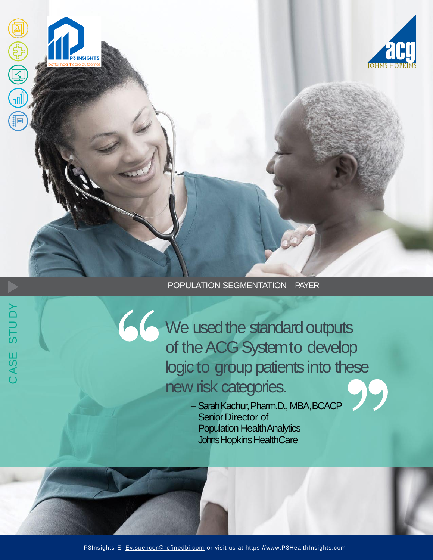

# POPULATION SEGMENTATION – PAYER

We used the standard outputs of the ACG System to develop logic to group patients into these new risk categories.

–Sarah Kachur, Pharm.D., MBA,BCACP Senior Director of Population HealthAnalytics Johns Hopkins HealthCare